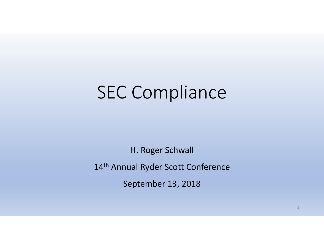# SEC Compliance

H. Roger Schwall

14<sup>th</sup> Annual Ryder Scott Conference

September 13, 2018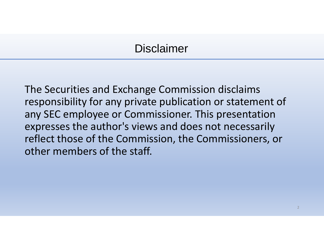# Disclaimer

The Securities and Exchange Commission disclaims responsibility for any private publication or statement of any SEC employee or Commissioner. This presentation expresses the author's views and does not necessarily reflect those of the Commission, the Commissioners, or other members of the staff.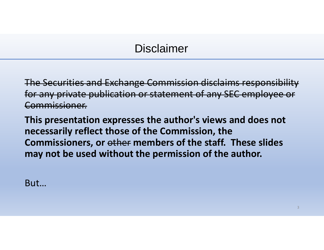# Disclaimer

The Securities and Exchange Commission disclaims responsibility for any private publication or statement of any SEC employee or Commissioner.

**This presentation expresses the author's views and does not necessarily reflect those of the Commission, the Commissioners, or** other **members of the staff. These slides may not be used without the permission of the author.**

But…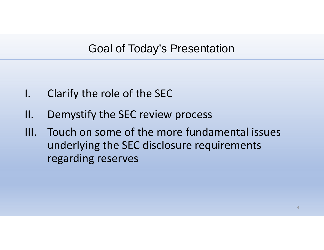# Goal of Today's Presentation

- I. Clarify the role of the SEC
- II. Demystify the SEC review process
- III. Touch on some of the more fundamental issues underlying the SEC disclosure requirements regarding reserves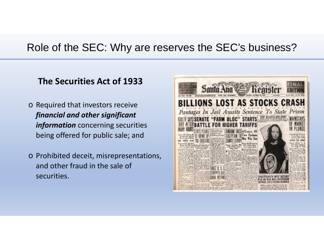#### **The Securities Act of 1933**

- o Required that investors receive *financial and other significant information* concerning securities being offered for public sale; and
- o Prohibited deceit, misrepresentations, and other fraud in the sale of securities.

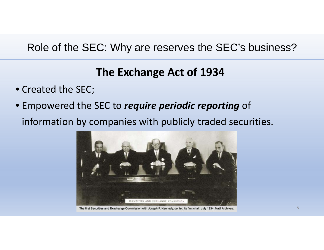# **The Exchange Act of 1934**

- Created the SEC;
- Empowered the SEC to *require periodic reporting* of information by companies with publicly traded securities.



The first Securities and Exachange Commission with Joseph P. Kennedy, center, its first chair. July 1934, Nat'l Archives.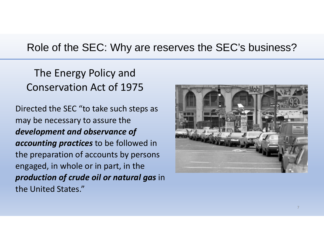The Energy Policy and Conservation Act of 1975

Directed the SEC "to take such steps as may be necessary to assure the *development and observance of accounting practices* to be followed in the preparation of accounts by persons engaged, in whole or in part, in the *production of crude oil or natural gas* in the United States."

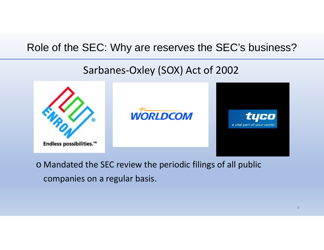# Sarbanes‐Oxley (SOX) Act of 2002



o Mandated the SEC review the periodic filings of all public companies on <sup>a</sup> regular basis.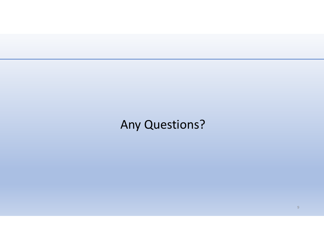# Any Questions?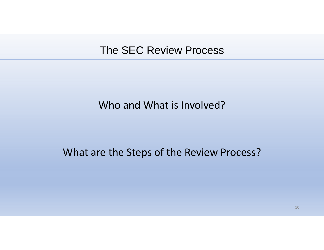#### Who and What is Involved?

#### What are the Steps of the Review Process?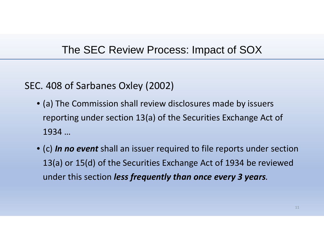#### The SEC Review Process: Impact of SOX

#### SEC. 408 of Sarbanes Oxley (2002)

- (a) The Commission shall review disclosures made by issuers reporting under section 13(a) of the Securities Exchange Act of 1934…
- (c) *In no event* shall an issuer required to file reports under section 13(a) or 15(d) of the Securities Exchange Act of 1934 be reviewed under this section *less frequently than once every 3 years.*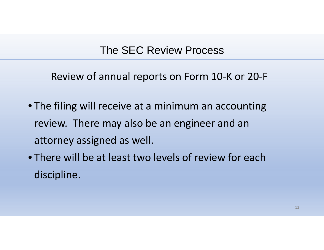Review of annual reports on Form 10‐K or 20‐F

- The filing will receive at <sup>a</sup> minimum an accounting review. There may also be an engineer and an attorney assigned as well.
- There will be at least two levels of review for each discipline.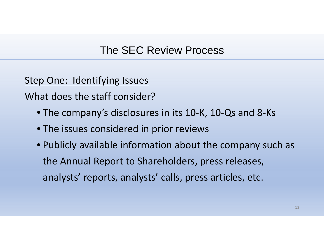Step One: Identifying Issues

What does the staff consider?

- The company's disclosures in its 10‐K, 10‐Qs and 8‐Ks
- The issues considered in prior reviews
- Publicly available information about the company such as the Annual Report to Shareholders, press releases, analysts' reports, analysts' calls, press articles, etc.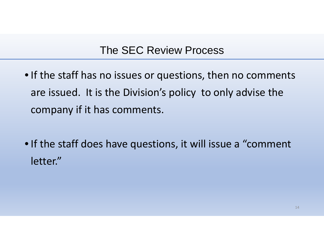- If the staff has no issues or questions, then no comments are issued. It is the Division's policy to only advise the company if it has comments.
- If the staff does have questions, it will issue <sup>a</sup> "comment letter."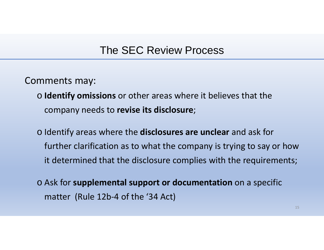Comments may:

- o **Identify omissions** or other areas where it believes that the company needs to **revise its disclosure**;
- o Identify areas where the **disclosures are unclear** and ask for further clarification as to what the company is trying to say or how it determined that the disclosure complies with the requirements;
- o Ask for **supplemental support or documentation** on <sup>a</sup> specific matter (Rule 12b‐4 of the '34 Act)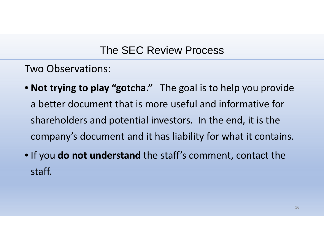Two Observations:

- **Not trying to play "gotcha."** The goal is to help you provide a better document that is more useful and informative for shareholders and potential investors. In the end, it is the company's document and it has liability for what it contains.
- If you **do not understand** the staff's comment, contact the staff.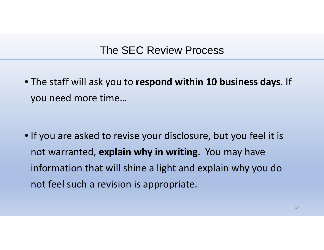• The staff will ask you to **respond within 10 business days**. If you need more time…

• If you are asked to revise your disclosure, but you feel it is not warranted, **explain why in writing**. You may have information that will shine <sup>a</sup> light and explain why you do not feel such <sup>a</sup> revision is appropriate.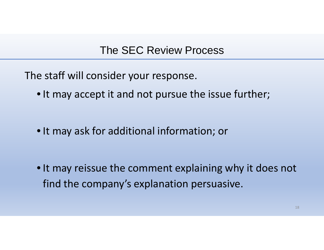The staff will consider your response.

• It may accept it and not pursue the issue further;

• It may ask for additional information; or

• It may reissue the comment explaining why it does not find the company's explanation persuasive.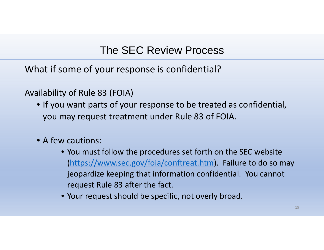What if some of your response is confidential?

Availability of Rule 83 (FOIA)

- If you want parts of your response to be treated as confidential, you may request treatment under Rule 83 of FOIA.
- A few cautions:
	- You must follow the procedures set forth on the SEC website (https://www.sec.gov/foia/conftreat.htm). Failure to do so may jeopardize keeping that information confidential. You cannot request Rule 83 after the fact.
	- Your request should be specific, not overly broad.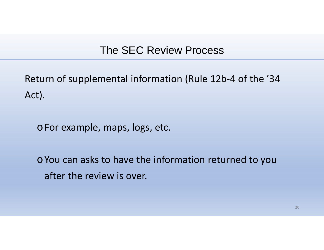Return of supplemental information (Rule 12b‐4 of the '34 Act).

<sup>o</sup>For example, maps, logs, etc.

 $\circ$  You can asks to have the information returned to you after the review is over.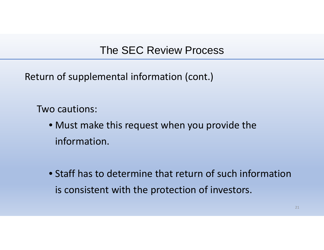Return of supplemental information (cont.)

Two cautions:

- Must make this request when you provide the information.
- Staff has to determine that return of such information is consistent with the protection of investors.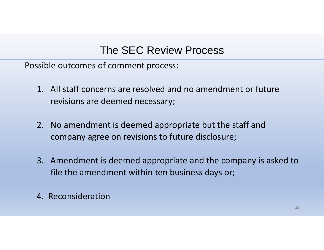Possible outcomes of comment process:

- 1. All staff concerns are resolved and no amendment or future revisions are deemed necessary;
- 2. No amendment is deemed appropriate but the staff and company agree on revisions to future disclosure;
- 3. Amendment is deemed appropriate and the company is asked to file the amendment within ten business days or;
- 4. Reconsideration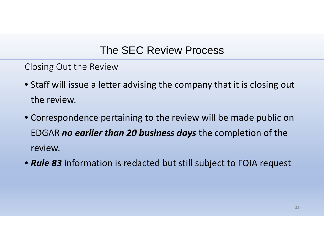Closing Out the Review

- Staff will issue <sup>a</sup> letter advising the company that it is closing out the review.
- Correspondence pertaining to the review will be made public on EDGAR *no earlier than 20 business days* the completion of the review.
- *Rule 83* information is redacted but still subject to FOIA request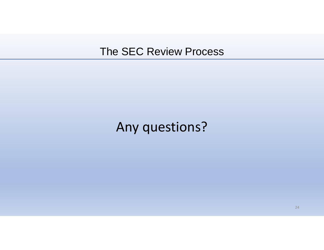# Any questions?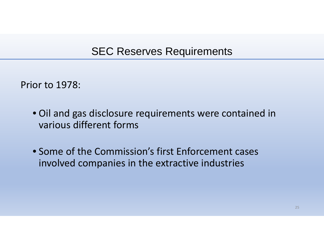Prior to 1978:

- Oil and gas disclosure requirements were contained in various different forms
- Some of the Commission's first Enforcement cases involved companies in the extractive industries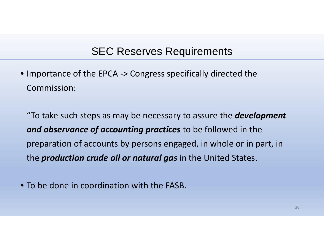• Importance of the EPCA ‐ > Congress specifically directed the Commission:

"To take such steps as may be necessary to assure the *development and observance of accounting practices* to be followed in the preparation of accounts by persons engaged, in whole or in part, in the *production crude oil or natural gas* in the United States.

• To be done in coordination with the FASB.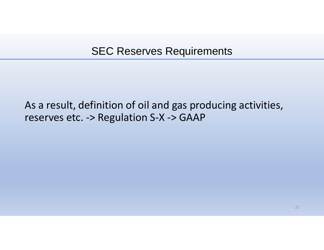### As a result, definition of oil and gas producing activities, reserves etc. ‐ > Regulation S ‐ X ‐ > GAAP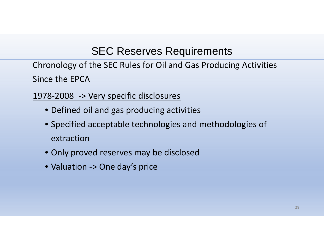Chronology of the SEC Rules for Oil and Gas Producing Activities Since the EPCA

- 1978‐2008 ‐> Very specific disclosures
	- Defined oil and gas producing activities
	- Specified acceptable technologies and methodologies of extraction
	- Only proved reserves may be disclosed
	- Valuation ‐<sup>&</sup>gt; One day's price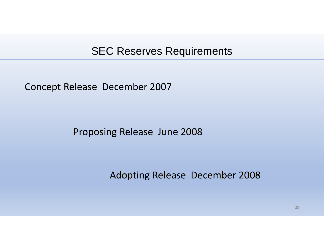Concept Release December 2007

Proposing Release June 2008

Adopting Release December 2008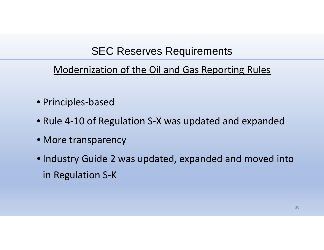# Modernization of the Oil and Gas Reporting Rules

- Principles‐based
- Rule 4‐10 of Regulation S‐X was updated and expanded
- More transparency
- Industry Guide 2 was updated, expanded and moved into in Regulation S‐K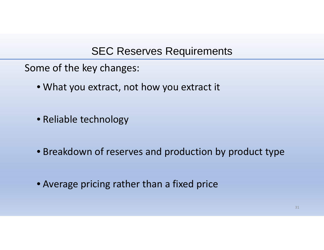Some of the key changes:

- What you extract, not how you extract it
- Reliable technology
- Breakdown of reserves and production by product type
- Average pricing rather than <sup>a</sup> fixed price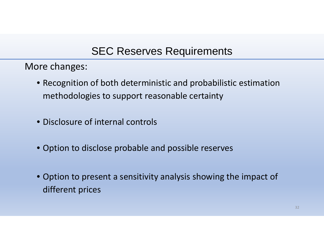More changes:

- Recognition of both deterministic and probabilistic estimation methodologies to support reasonable certainty
- Disclosure of internal controls
- Option to disclose probable and possible reserves
- Option to present <sup>a</sup> sensitivity analysis showing the impact of different prices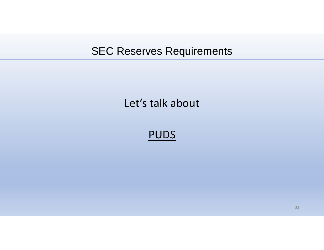# Let's talk about

PUDS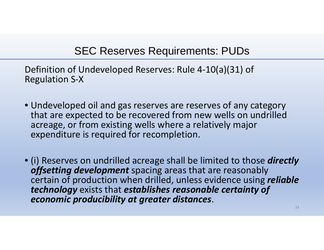Definition of Undeveloped Reserves: Rule 4 ‐10(a)(31) of Regulation S ‐ X

- Undeveloped oil and gas reserves are reserves of any category that are expected to be recovered from new wells on undrilled acreage, or from existing wells where a relatively major expenditure is required for recompletion.
- (i) Reserves on undrilled acreage shall be limited to those *directly offsetting development* spacing areas that are reasonably certain of production when drilled, unless evidence using *reliable technology* exists that *establishes reasonable certainty of economic producibility at greater distances*.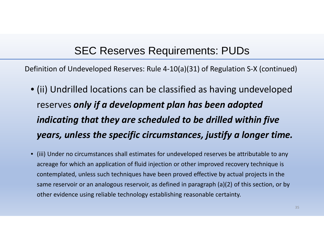Definition of Undeveloped Reserves: Rule 4‐10(a)(31) of Regulation S‐X (continued)

- (ii) Undrilled locations can be classified as having undeveloped reserves *only if <sup>a</sup> development plan has been adopted indicating that they are scheduled to be drilled within five years, unless the specific circumstances, justify <sup>a</sup> longer time.*
- (iii) Under no circumstances shall estimates for undeveloped reserves be attributable to any acreage for which an application of fluid injection or other improved recovery technique is contemplated, unless such techniques have been proved effective by actual projects in the same reservoir or an analogous reservoir, as defined in paragraph (a)(2) of this section, or by other evidence using reliable technology establishing reasonable certainty.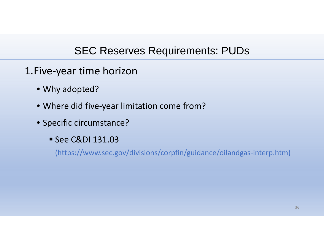- 1.Five‐year time horizon
	- Why adopted?
	- Where did five‐year limitation come from?
	- Specific circumstance?
		- See C&DI 131.03

(https://www.sec.gov/divisions/corpfin/guidance/oilandgas‐interp.htm)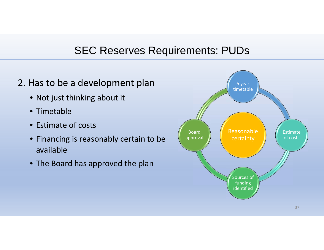#### 2. Has to be a development plan

- Not just thinking about it
- Timetable
- Estimate of costs
- Financing is reasonably certain to be available
- The Board has approved the plan

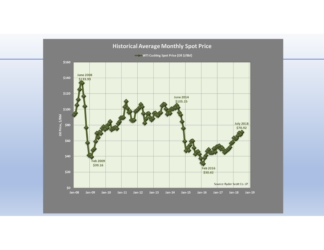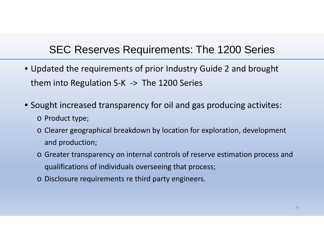#### SEC Reserves Requirements: The 1200 Series

- Updated the requirements of prior Industry Guide 2 and brought them into Regulation S ‐ K ‐ > The 1200 Series
- Sought increased transparency for oil and gas producing activites:
	- o Product type;
	- o Clearer geographical breakdown by location for exploration, development and production;
	- o Greater transparency on internal controls of reserve estimation process and qualifications of individuals overseeing that process;
	- o Disclosure requirements re third party engineers.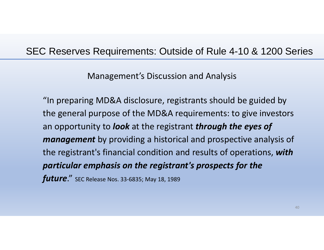#### SEC Reserves Requirements: Outside of Rule 4-10 & 1200 Series

Management's Discussion and Analysis

"In preparing MD&A disclosure, registrants should be guided by the general purpose of the MD&A requirements: to give investors an opportunity to *look* at the registrant *through the eyes of management* by providing a historical and prospective analysis of the registrant's financial condition and results of operations, *with particular emphasis on the registrant's prospects for the future.*" SEC Release Nos. 33-6835; May 18, 1989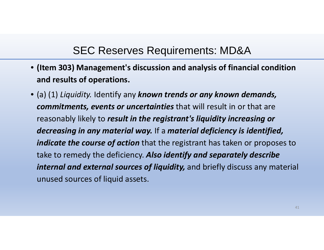- **(Item 303) Management's discussion and analysis of financial condition and results of operations.**
- (a) (1) *Liquidity.* Identify any *known trends or any known demands, commitments, events or uncertainties* that will result in or that are reasonably likely to *result in the registrant's liquidity increasing or decreasing in any material way.* If a *material deficiency is identified, indicate the course of action* that the registrant has taken or proposes to take to remedy the deficiency. *Also identify and separately describe internal and external sources of liquidity,* and briefly discuss any material unused sources of liquid assets.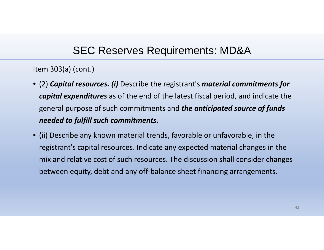Item 303(a) (cont.)

- (2) *Capital resources. (i)* Describe the registrant's *material commitments for capital expenditures* as of the end of the latest fiscal period, and indicate the general purpose of such commitments and *the anticipated source of funds needed to fulfill such commitments.*
- (ii) Describe any known material trends, favorable or unfavorable, in the registrant's capital resources. Indicate any expected material changes in the mix and relative cost of such resources. The discussion shall consider changes between equity, debt and any off‐balance sheet financing arrangements.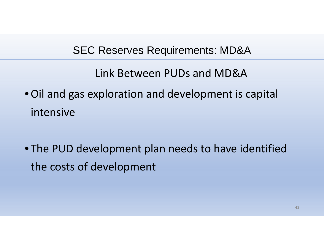Link Between PUDs and MD&A

- •Oil and gas exploration and development is capital intensive
- The PUD development plan needs to have identified the costs of development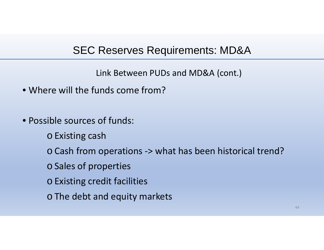Link Between PUDs and MD&A (cont.)

- Where will the funds come from?
- Possible sources of funds:
	- <sup>o</sup>Existing cash
	- oCash from operations ‐ > what has been historical trend?
	- <sup>o</sup>Sales of properties
	- <sup>o</sup>Existing credit facilities
	- oThe debt and equity markets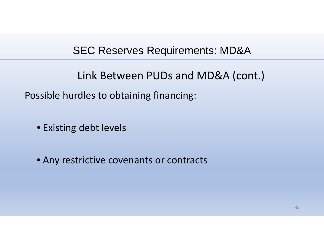Link Between PUDs and MD&A (cont.)

Possible hurdles to obtaining financing:

• Existing debt levels

• Any restrictive covenants or contracts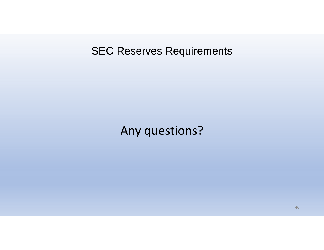# Any questions?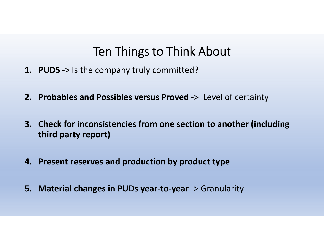# Ten Things to Think About

- **1. PUDS** ‐> Is the company truly committed?
- **2. Probables and Possibles versus Proved** ‐<sup>&</sup>gt; Level of certainty
- **3. Check for inconsistencies from one section to another (including third party report)**
- **4. Present reserves and production by product type**
- **5. Material changes in PUDs year‐to‐year** ‐<sup>&</sup>gt; Granularity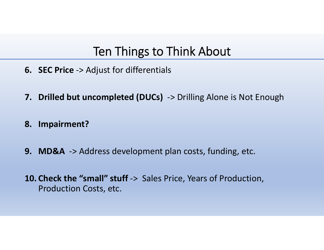# Ten Things to Think About

- **6. SEC Price** ‐<sup>&</sup>gt; Adjust for differentials
- **7. Drilled but uncompleted (DUCs)** ‐<sup>&</sup>gt; Drilling Alone is Not Enough
- **8. Impairment?**
- **9. MD&A** ‐<sup>&</sup>gt; Address development plan costs, funding, etc.
- **10. Check the "small" stuff** ‐<sup>&</sup>gt; Sales Price, Years of Production, Production Costs, etc.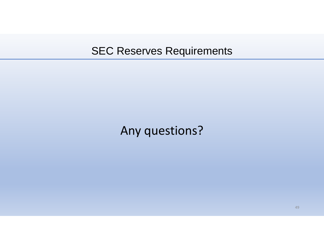# Any questions?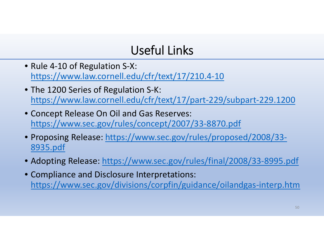# Useful Links

- Rule 4‐10 of Regulation S‐X: https://www.law.cornell.edu/cfr/text/17/210.4‐10
- The 1200 Series of Regulation S‐K: https://www.law.cornell.edu/cfr/text/17/part‐229/subpart‐229.1200
- Concept Release On Oil and Gas Reserves: https://www.sec.gov/rules/concept/2007/33‐8870.pdf
- Proposing Release: https://www.sec.gov/rules/proposed/2008/33-8935.pdf
- Adopting Release: https://www.sec.gov/rules/final/2008/33-8995.pdf
- Compliance and Disclosure Interpretations: https://www.sec.gov/divisions/corpfin/guidance/oilandgas‐interp.htm